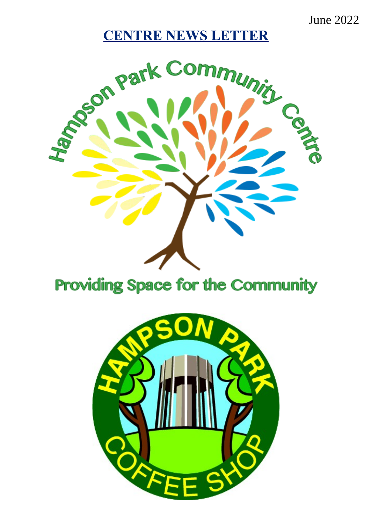June 2022

# **CENTRE NEWS LETTER**



# **Providing Space for the Community**

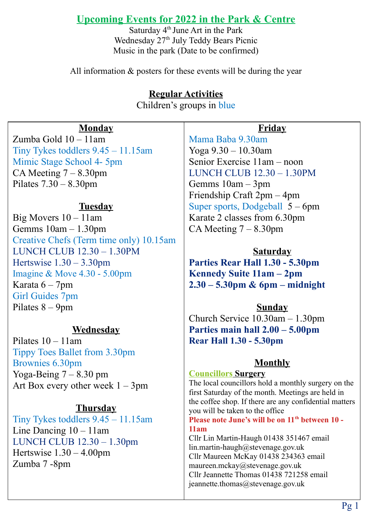# **Upcoming Events for 2022 in the Park & Centre**

Saturday  $4<sup>th</sup>$  June Art in the Park Wednesday 27<sup>th</sup> July Teddy Bears Picnic Music in the park (Date to be confirmed)

All information & posters for these events will be during the year

# **Regular Activities**

Children's groups in blue

#### **Monday**

Zumba Gold 10 – 11am Tiny Tykes toddlers 9.45 – 11.15am Mimic Stage School 4- 5pm CA Meeting  $7 - 8.30$ pm Pilates 7.30 – 8.30pm

#### **Tuesday**

Big Movers 10 – 11am Gemms 10am – 1.30pm Creative Chefs (Term time only) 10.15am LUNCH CLUB 12.30 – 1.30PM Hertswise  $1.30 - 3.30$ pm Imagine & Move 4.30 - 5.00pm Karata 6 – 7pm Girl Guides 7pm Pilates 8 – 9pm

#### **Wednesday**

Pilates 10 – 11am Tippy Toes Ballet from 3.30pm Brownies 6.30pm Yoga-Being  $7 - 8.30$  pm Art Box every other week  $1 - 3$ pm

#### **Thursday**

Tiny Tykes toddlers 9.45 – 11.15am Line Dancing 10 – 11am LUNCH CLUB 12.30 – 1.30pm Hertswise 1.30 – 4.00pm Zumba 7 -8pm

#### **Friday**

Mama Baba 9.30am Yoga 9.30 – 10.30am Senior Exercise 11am – noon LUNCH CLUB 12.30 – 1.30PM Gemms 10am – 3pm Friendship Craft 2pm – 4pm Super sports, Dodgeball 5 – 6pm Karate 2 classes from 6.30pm CA Meeting  $7 - 8.30$ pm

#### **Saturday**

**Parties Rear Hall 1.30 - 5.30pm Kennedy Suite 11am – 2pm 2.30 – 5.30pm & 6pm – midnight**

# **Sunday**

Church Service 10.30am – 1.30pm **Parties main hall 2.00 – 5.00pm Rear Hall 1.30 - 5.30pm**

# **Monthly**

# **Councillors Surgery**

The local councillors hold a monthly surgery on the first Saturday of the month. Meetings are held in the coffee shop. If there are any confidential matters you will be taken to the office **Please note June's will be on 11th between 10 - 11am** Cllr Lin Martin-Haugh 01438 351467 email lin.martin-haugh@stevenage.gov.uk Cllr Maureen McKay 01438 234363 email maureen.mckay@stevenage.gov.uk Cllr Jeannette Thomas 01438 721258 email

jeannette.thomas@stevenage.gov.uk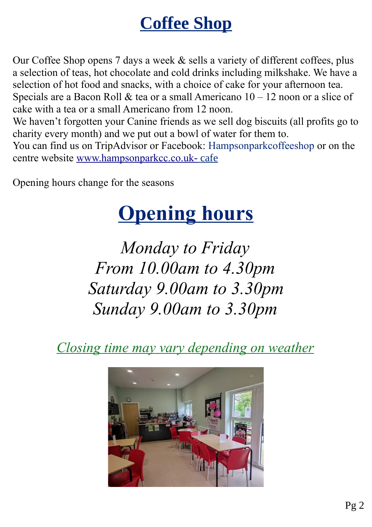# **Coffee Shop**

Our Coffee Shop opens 7 days a week & sells a variety of different coffees, plus a selection of teas, hot chocolate and cold drinks including milkshake. We have a selection of hot food and snacks, with a choice of cake for your afternoon tea. Specials are a Bacon Roll & tea or a small Americano  $10 - 12$  noon or a slice of cake with a tea or a small Americano from 12 noon.

We haven't forgotten your Canine friends as we sell dog biscuits (all profits go to charity every month) and we put out a bowl of water for them to.

You can find us on TripAdvisor or Facebook: Hampsonparkcoffeeshop or on the centre website [www.hampsonparkcc.co.uk](./http:%2F%2Fwww.hampsonparkcc.co.uk-) [-](./http:%2F%2Fwww.hampsonparkcc.co.uk-) cafe

Opening hours change for the seasons

# **Opening hours**

*Monday to Friday From 10.00am to 4.30pm Saturday 9.00am to 3.30pm Sunday 9.00am to 3.30pm*

*Closing time may vary depending on weather*

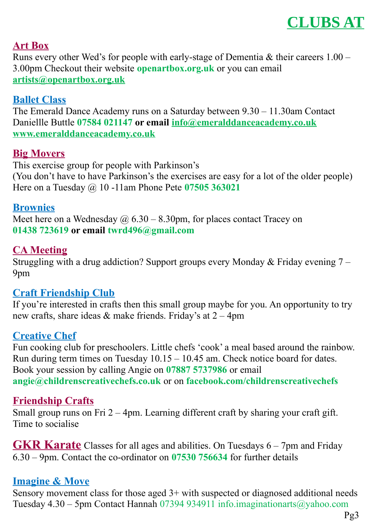

#### **Art Box**

Runs every other Wed's for people with early-stage of Dementia & their careers 1.00 – 3.00pm Checkout their website **openartbox.org.uk** or you can email **[artists@openartbox.org.uk](mailto:artists@openartbox.org.uk)**

#### **Ballet Class**

The Emerald Dance Academy runs on a Saturday between 9.30 – 11.30am Contact Daniellle Buttle **07584 021147 or email [info@emeralddanceacademy.co.uk](mailto:info@emeralddanceacademy.co.uk) [www.emeralddanceacademy.co.uk](http://www.emeralddanceacademy.co.uk/)**

#### **Big Movers**

This exercise group for people with Parkinson's (You don't have to have Parkinson's the exercises are easy for a lot of the older people) Here on a Tuesday @ 10 -11am Phone Pete **07505 363021**

#### **Brownies**

Meet here on a Wednesday  $\omega/6.30 - 8.30$ pm, for places contact Tracey on **01438 723619 or email twrd496@gmail.com**

#### **CA Meeting**

Struggling with a drug addiction? Support groups every Monday & Friday evening 7 – 9pm

## **Craft Friendship Club**

If you're interested in crafts then this small group maybe for you. An opportunity to try new crafts, share ideas & make friends. Friday's at 2 – 4pm

# **Creative Chef**

Fun cooking club for preschoolers. Little chefs 'cook' a meal based around the rainbow. Run during term times on Tuesday 10.15 – 10.45 am. Check notice board for dates. Book your session by calling Angie on **07887 5737986** or email **[angie@childrenscreativechefs.co.uk](mailto:angie@childrenscreativechefs.co.uk)** or on **facebook.com/childrenscreativechefs**

## **Friendship Crafts**

Small group runs on Fri 2 – 4pm. Learning different craft by sharing your craft gift. Time to socialise

**GKR Karate** Classes for all ages and abilities. On Tuesdays 6 – 7pm and Friday 6.30 – 9pm. Contact the co-ordinator on **07530 756634** for further details

## **Imagine & Move**

Sensory movement class for those aged 3+ with suspected or diagnosed additional needs Tuesday 4.30 – 5pm Contact Hannah 07394 934911 info.imaginationarts@yahoo.com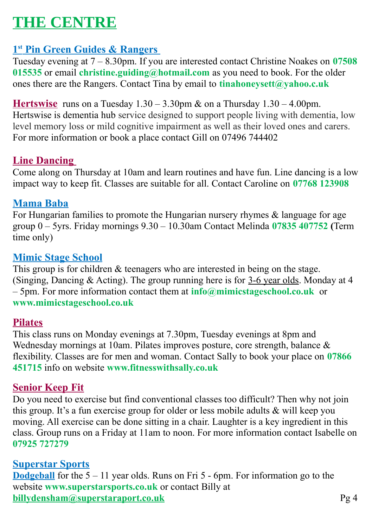# **THE CENTRE**

# **1 st Pin Green Guides & Rangers**

Tuesday evening at 7 – 8.30pm. If you are interested contact Christine Noakes on **07508 015535** or email **[christine.guiding@hotmail.com](mailto:christine.guiding@hotmail.com)** as you need to book. For the older ones there are the Rangers. Contact Tina by email to **[tinahoneysett@yahoo.c.uk](mailto:tinahoneysett@yahoo.c.uk)**

**Hertswise** runs on a Tuesday 1.30 – 3.30pm & on a Thursday 1.30 – 4.00pm. Hertswise is dementia hub service designed to support people living with dementia, low level memory loss or mild cognitive impairment as well as their loved ones and carers. For more information or book a place contact Gill on 07496 744402

# **Line Dancing**

Come along on Thursday at 10am and learn routines and have fun. Line dancing is a low impact way to keep fit. Classes are suitable for all. Contact Caroline on **07768 123908**

# **Mama Baba**

For Hungarian families to promote the Hungarian nursery rhymes & language for age group 0 – 5yrs. Friday mornings 9.30 – 10.30am Contact Melinda **07835 407752 (**Term time only)

# **Mimic Stage School**

This group is for children & teenagers who are interested in being on the stage. (Singing, Dancing & Acting). The group running here is for 3-6 year olds. Monday at 4 – 5pm. For more information contact them at **[info@mimicstageschool.co.uk](mailto:info@mimicstageschool.co.uk)** or **www.mimicstageschool.co.uk**

## **Pilates**

This class runs on Monday evenings at 7.30pm, Tuesday evenings at 8pm and Wednesday mornings at 10am. Pilates improves posture, core strength, balance & flexibility. Classes are for men and woman. Contact Sally to book your place on **07866 451715** info on website **www.fitnesswithsally.co.uk**

## **Senior Keep Fit**

Do you need to exercise but find conventional classes too difficult? Then why not join this group. It's a fun exercise group for older or less mobile adults & will keep you moving. All exercise can be done sitting in a chair. Laughter is a key ingredient in this class. Group runs on a Friday at 11am to noon. For more information contact Isabelle on **07925 727279**

## **Superstar Sports**

**Dodgeball** for the 5 – 11 year olds. Runs on Fri 5 - 6pm. For information go to the website **[www.superstarsports.co.uk](http://www.superstarsports.co.uk/)** or contact Billy at **[billydensham@superstaraport.co.uk](mailto:billydensham@superstaraport.co.uk)** Pg 4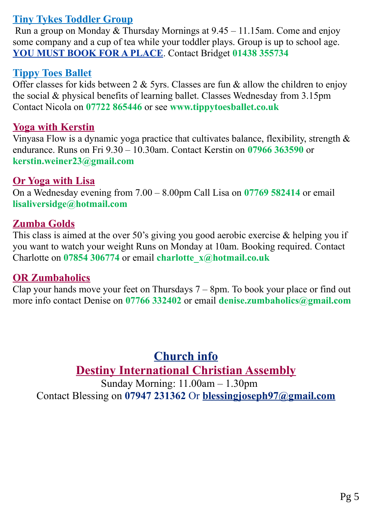# **Tiny Tykes Toddler Group**

 Run a group on Monday & Thursday Mornings at 9.45 – 11.15am. Come and enjoy some company and a cup of tea while your toddler plays. Group is up to school age. **YOU MUST BOOK FOR A PLACE**. Contact Bridget **01438 355734**

# **Tippy Toes Ballet**

Offer classes for kids between 2  $&$  5yrs. Classes are fun  $&$  allow the children to enjoy the social & physical benefits of learning ballet. Classes Wednesday from 3.15pm Contact Nicola on **07722 865446** or see **[www.tippytoesballet.co.uk](http://www.tippytoesballet.co.uk/)**

## **Yoga with Kerstin**

Vinyasa Flow is a dynamic yoga practice that cultivates balance, flexibility, strength & endurance. Runs on Fri 9.30 – 10.30am. Contact Kerstin on **07966 363590** or **[kerstin.weiner23@gmail.com](mailto:kerstin.weiner23@gmail.com)**

## **Or Yoga with Lisa**

On a Wednesday evening from 7.00 – 8.00pm Call Lisa on **07769 582414** or email **[lisaliversidge@hotmail.com](mailto:lisaliversidge@hotmail.com)**

# **Zumba Golds**

This class is aimed at the over 50's giving you good aerobic exercise  $\&$  helping you if you want to watch your weight Runs on Monday at 10am. Booking required. Contact Charlotte on **07854 306774** or email **[charlotte\\_x@hotmail.co.uk](mailto:charlotte_x@hotmail.co.uk)**

## **OR Zumbaholics**

Clap your hands move your feet on Thursdays 7 – 8pm. To book your place or find out more info contact Denise on **07766 332402** or email **[denise.zumbaholics@gmail.com](mailto:denise.zumbaholics@gmail.com)**

> **Church info Destiny International Christian Assembly**

Sunday Morning: 11.00am – 1.30pm Contact Blessing on **07947 231362** Or **[blessingjoseph97@gmail.com](mailto:blessingjoseph97@gmail.com)**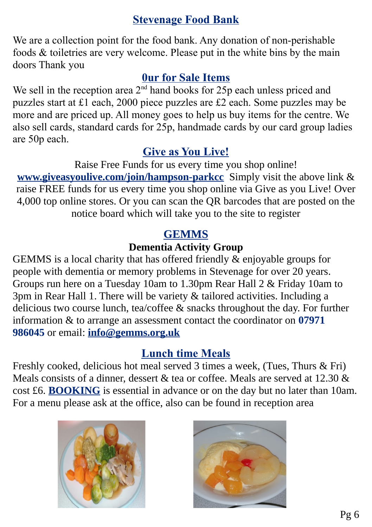# **Stevenage Food Bank**

We are a collection point for the food bank. Any donation of non-perishable foods & toiletries are very welcome. Please put in the white bins by the main doors Thank you

# **0ur for Sale Items**

We sell in the reception area  $2<sup>nd</sup>$  hand books for 25p each unless priced and puzzles start at £1 each, 2000 piece puzzles are £2 each. Some puzzles may be more and are priced up. All money goes to help us buy items for the centre. We also sell cards, standard cards for 25p, handmade cards by our card group ladies are 50p each.

# **Give as You Live!**

Raise Free Funds for us every time you shop online! **[www.giveasyoulive.com/join/hampson-parkcc](http://www.giveasyoulive.com/join/hampson-parkcc)** Simply visit the above link & raise FREE funds for us every time you shop online via Give as you Live! Over 4,000 top online stores. Or you can scan the QR barcodes that are posted on the notice board which will take you to the site to register

# **GEMMS**

# **Dementia Activity Group**

GEMMS is a local charity that has offered friendly & enjoyable groups for people with dementia or memory problems in Stevenage for over 20 years. Groups run here on a Tuesday 10am to 1.30pm Rear Hall 2 & Friday 10am to 3pm in Rear Hall 1. There will be variety & tailored activities. Including a delicious two course lunch, tea/coffee & snacks throughout the day. For further information & to arrange an assessment contact the coordinator on **07971 986045** or email: **[info@gemms.org.uk](mailto:info@gemms.org.uk)**

# **Lunch time Meals**

Freshly cooked, delicious hot meal served 3 times a week, (Tues, Thurs & Fri) Meals consists of a dinner, dessert & tea or coffee. Meals are served at 12.30 & cost £6. **BOOKING** is essential in advance or on the day but no later than 10am. For a menu please ask at the office, also can be found in reception area